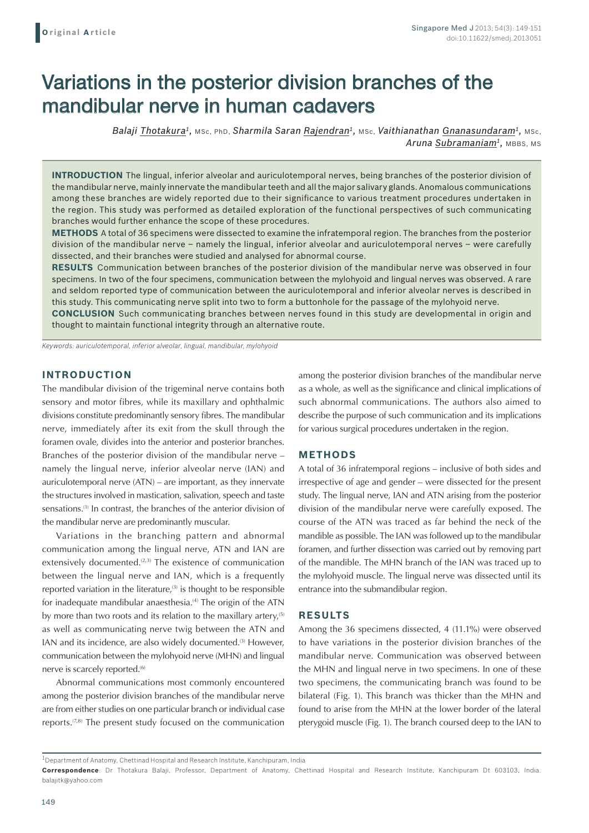# Variations in the posterior division branches of the mandibular nerve in human cadavers

*Balaji Thotakura1,* MSc, PhD, *Sharmila Saran Rajendran1,* MSc, *Vaithianathan Gnanasundaram1,* MSc, Aruna Subramaniam<sup>1</sup>, MBBS, MS

**INTRODUCTION** The lingual, inferior alveolar and auriculotemporal nerves, being branches of the posterior division of the mandibular nerve, mainly innervate the mandibular teeth and all the major salivary glands. Anomalous communications among these branches are widely reported due to their significance to various treatment procedures undertaken in the region. This study was performed as detailed exploration of the functional perspectives of such communicating branches would further enhance the scope of these procedures.

**METHODS** A total of 36 specimens were dissected to examine the infratemporal region. The branches from the posterior division of the mandibular nerve – namely the lingual, inferior alveolar and auriculotemporal nerves – were carefully dissected, and their branches were studied and analysed for abnormal course.

**RESULTS** Communication between branches of the posterior division of the mandibular nerve was observed in four specimens. In two of the four specimens, communication between the mylohyoid and lingual nerves was observed. A rare and seldom reported type of communication between the auriculotemporal and inferior alveolar nerves is described in this study. This communicating nerve split into two to form a buttonhole for the passage of the mylohyoid nerve. **CONCLUSION** Such communicating branches between nerves found in this study are developmental in origin and

thought to maintain functional integrity through an alternative route.

*Keywords: auriculotemporal, inferior alveolar, lingual, mandibular, mylohyoid*

## **INTRODUCTION**

The mandibular division of the trigeminal nerve contains both sensory and motor fibres, while its maxillary and ophthalmic divisions constitute predominantly sensory fibres. The mandibular nerve, immediately after its exit from the skull through the foramen ovale, divides into the anterior and posterior branches. Branches of the posterior division of the mandibular nerve – namely the lingual nerve, inferior alveolar nerve (IAN) and auriculotemporal nerve (ATN) – are important, as they innervate the structures involved in mastication, salivation, speech and taste sensations.<sup>(1)</sup> In contrast, the branches of the anterior division of the mandibular nerve are predominantly muscular.

Variations in the branching pattern and abnormal communication among the lingual nerve, ATN and IAN are extensively documented.<sup>(2,3)</sup> The existence of communication between the lingual nerve and IAN, which is a frequently reported variation in the literature, $(3)$  is thought to be responsible for inadequate mandibular anaesthesia.<sup>(4)</sup> The origin of the ATN by more than two roots and its relation to the maxillary artery, $(5)$ as well as communicating nerve twig between the ATN and IAN and its incidence, are also widely documented.<sup>(3)</sup> However, communication between the mylohyoid nerve (MHN) and lingual nerve is scarcely reported.<sup>(6)</sup>

Abnormal communications most commonly encountered among the posterior division branches of the mandibular nerve are from either studies on one particular branch or individual case reports.(7,8) The present study focused on the communication

among the posterior division branches of the mandibular nerve as a whole, as well as the significance and clinical implications of such abnormal communications. The authors also aimed to describe the purpose of such communication and its implications for various surgical procedures undertaken in the region.

### **METHODS**

A total of 36 infratemporal regions – inclusive of both sides and irrespective of age and gender – were dissected for the present study. The lingual nerve, IAN and ATN arising from the posterior division of the mandibular nerve were carefully exposed. The course of the ATN was traced as far behind the neck of the mandible as possible. The IAN was followed up to the mandibular foramen, and further dissection was carried out by removing part of the mandible. The MHN branch of the IAN was traced up to the mylohyoid muscle. The lingual nerve was dissected until its entrance into the submandibular region.

### **RESULTS**

Among the 36 specimens dissected, 4 (11.1%) were observed to have variations in the posterior division branches of the mandibular nerve. Communication was observed between the MHN and lingual nerve in two specimens. In one of these two specimens, the communicating branch was found to be bilateral (Fig. 1). This branch was thicker than the MHN and found to arise from the MHN at the lower border of the lateral pterygoid muscle (Fig. 1). The branch coursed deep to the IAN to

 $1$ Department of Anatomy, Chettinad Hospital and Research Institute, Kanchipuram, India

**Correspondence**: Dr Thotakura Balaji, Professor, Department of Anatomy, Chettinad Hospital and Research Institute, Kanchipuram Dt 603103, India. balajitk@yahoo.com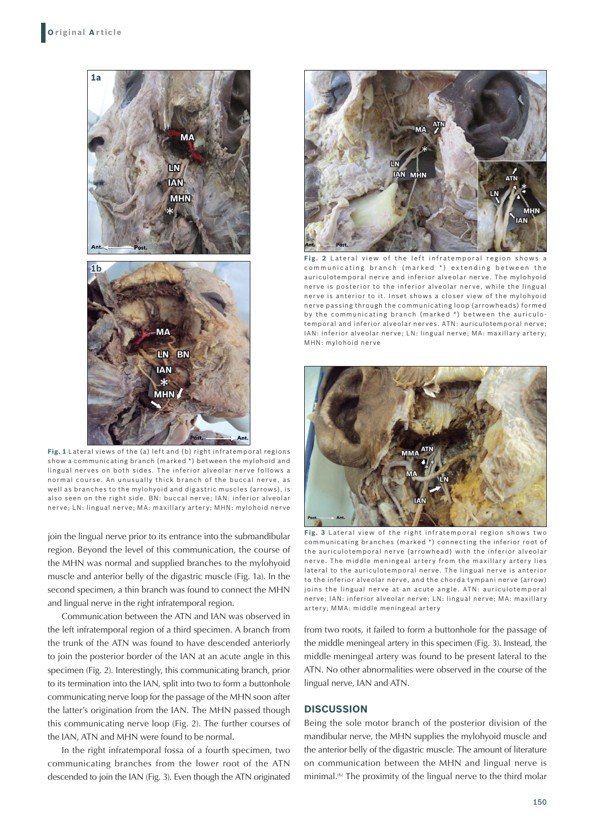

**Fig. 1** Lateral views of the (a) left and (b) right infratemporal regions show a communicating branch (marked \*) between the mylohoid and lingual nerves on both sides. The inferior alveolar nerve follows a normal course. An unusually thick branch of the buccal nerve, as well as branches to the mylohyoid and digastric muscles (arrows), is also seen on the right side. BN: buccal nerve; IAN: inferior alveolar nerve; LN: lingual nerve; MA: maxillary artery; MHN: mylohoid nerve

join the lingual nerve prior to its entrance into the submandibular region. Beyond the level of this communication, the course of the MHN was normal and supplied branches to the mylohyoid muscle and anterior belly of the digastric muscle (Fig. 1a). In the second specimen, a thin branch was found to connect the MHN and lingual nerve in the right infratemporal region.

Communication between the ATN and IAN was observed in the left infratemporal region of a third specimen. A branch from the trunk of the ATN was found to have descended anteriorly to join the posterior border of the IAN at an acute angle in this specimen (Fig. 2). Interestingly, this communicating branch, prior to its termination into the IAN, split into two to form a buttonhole communicating nerve loop for the passage of the MHN soon after the latter's origination from the IAN. The MHN passed though this communicating nerve loop (Fig. 2). The further courses of the IAN, ATN and MHN were found to be normal.

In the right infratemporal fossa of a fourth specimen, two communicating branches from the lower root of the ATN descended to join the IAN (Fig. 3). Even though the ATN originated



**Fig. 2** Lateral view of the left infratemporal region shows communicating branch (marked  $*$ ) extending between the auriculotemporal nerve and inferior alveolar nerve. The mylohyoid nerve is posterior to the inferior alveolar nerve, while the lingual nerve is anterior to it. Inset shows a closer view of the mylohyoid nerve passing through the communicating loop (arrowheads) formed by the communicating branch (marked \*) between the auriculotemporal and inferior alveolar nerves. ATN: auriculotemporal nerve; IAN: inferior alveolar nerve; LN: lingual nerve; MA: maxillary artery; MHN: mylohoid nerve



**Fig. 3** Lateral view of the right infratemporal region shows two communicating branches (marked \*) connecting the inferior root of the auriculotemporal nerve (arrowhead) with the inferior alveolar nerve. The middle meningeal artery from the maxillary artery lies lateral to the auriculotemporal nerve. The lingual nerve is anterior to the inferior alveolar nerve, and the chorda tympani nerve (arrow) joins the lingual nerve at an acute angle. ATN: auriculotemporal nerve; IAN: inferior alveolar nerve; LN: lingual nerve; MA: maxillary artery; MMA: middle meningeal artery

from two roots, it failed to form a buttonhole for the passage of the middle meningeal artery in this specimen (Fig. 3). Instead, the middle meningeal artery was found to be present lateral to the ATN. No other abnormalities were observed in the course of the lingual nerve, IAN and ATN.

## **DISCUSSION**

Being the sole motor branch of the posterior division of the mandibular nerve, the MHN supplies the mylohyoid muscle and the anterior belly of the digastric muscle. The amount of literature on communication between the MHN and lingual nerve is minimal.<sup>(6)</sup> The proximity of the lingual nerve to the third molar